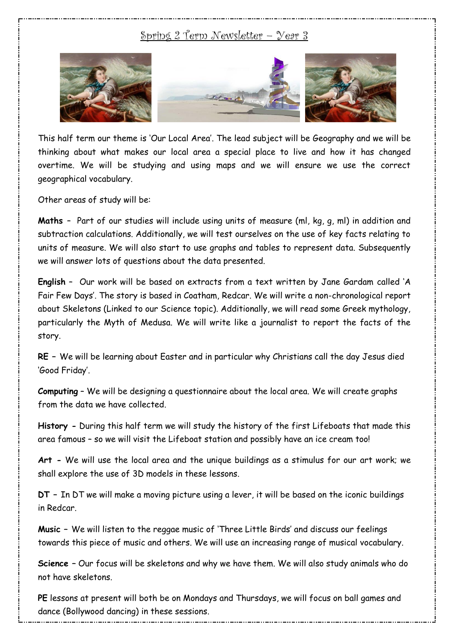## Spring 2 Term Newsletter – Year 3



This half term our theme is 'Our Local Area'. The lead subject will be Geography and we will be thinking about what makes our local area a special place to live and how it has changed overtime. We will be studying and using maps and we will ensure we use the correct geographical vocabulary.

Other areas of study will be:

**Maths** – Part of our studies will include using units of measure (ml, kg, g, ml) in addition and subtraction calculations. Additionally, we will test ourselves on the use of key facts relating to units of measure. We will also start to use graphs and tables to represent data. Subsequently we will answer lots of questions about the data presented.

**English** – Our work will be based on extracts from a text written by Jane Gardam called 'A Fair Few Days'. The story is based in Coatham, Redcar. We will write a non-chronological report about Skeletons (Linked to our Science topic). Additionally, we will read some Greek mythology, particularly the Myth of Medusa. We will write like a journalist to report the facts of the story.

**RE –** We will be learning about Easter and in particular why Christians call the day Jesus died 'Good Friday'.

**Computing** – We will be designing a questionnaire about the local area. We will create graphs from the data we have collected.

**History -** During this half term we will study the history of the first Lifeboats that made this area famous – so we will visit the Lifeboat station and possibly have an ice cream too!

**Art -** We will use the local area and the unique buildings as a stimulus for our art work; we shall explore the use of 3D models in these lessons.

**DT –** In DT we will make a moving picture using a lever, it will be based on the iconic buildings in Redcar.

**Music –** We will listen to the reggae music of 'Three Little Birds' and discuss our feelings towards this piece of music and others. We will use an increasing range of musical vocabulary.

**Science –** Our focus will be skeletons and why we have them. We will also study animals who do not have skeletons.

**PE** lessons at present will both be on Mondays and Thursdays, we will focus on ball games and dance (Bollywood dancing) in these sessions.